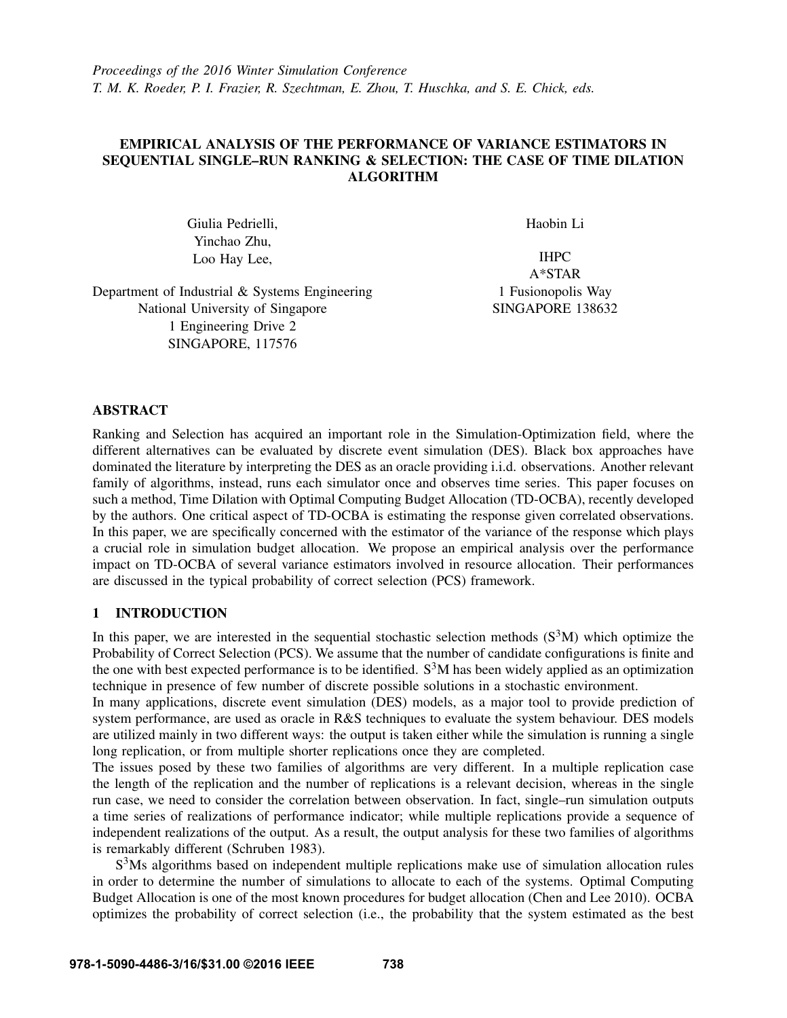*Proceedings of the 2016 Winter Simulation Conference T. M. K. Roeder, P. I. Frazier, R. Szechtman, E. Zhou, T. Huschka, and S. E. Chick, eds.*

# EMPIRICAL ANALYSIS OF THE PERFORMANCE OF VARIANCE ESTIMATORS IN SEQUENTIAL SINGLE–RUN RANKING & SELECTION: THE CASE OF TIME DILATION ALGORITHM

Giulia Pedrielli, Yinchao Zhu, Loo Hay Lee,

Haobin Li

IHPC A\*STAR 1 Fusionopolis Way SINGAPORE 138632

Department of Industrial & Systems Engineering National University of Singapore 1 Engineering Drive 2 SINGAPORE, 117576

## ABSTRACT

Ranking and Selection has acquired an important role in the Simulation-Optimization field, where the different alternatives can be evaluated by discrete event simulation (DES). Black box approaches have dominated the literature by interpreting the DES as an oracle providing i.i.d. observations. Another relevant family of algorithms, instead, runs each simulator once and observes time series. This paper focuses on such a method, Time Dilation with Optimal Computing Budget Allocation (TD-OCBA), recently developed by the authors. One critical aspect of TD-OCBA is estimating the response given correlated observations. In this paper, we are specifically concerned with the estimator of the variance of the response which plays a crucial role in simulation budget allocation. We propose an empirical analysis over the performance impact on TD-OCBA of several variance estimators involved in resource allocation. Their performances are discussed in the typical probability of correct selection (PCS) framework.

## 1 INTRODUCTION

In this paper, we are interested in the sequential stochastic selection methods  $(S<sup>3</sup>M)$  which optimize the Probability of Correct Selection (PCS). We assume that the number of candidate configurations is finite and the one with best expected performance is to be identified.  $S<sup>3</sup>M$  has been widely applied as an optimization technique in presence of few number of discrete possible solutions in a stochastic environment.

In many applications, discrete event simulation (DES) models, as a major tool to provide prediction of system performance, are used as oracle in R&S techniques to evaluate the system behaviour. DES models are utilized mainly in two different ways: the output is taken either while the simulation is running a single long replication, or from multiple shorter replications once they are completed.

The issues posed by these two families of algorithms are very different. In a multiple replication case the length of the replication and the number of replications is a relevant decision, whereas in the single run case, we need to consider the correlation between observation. In fact, single–run simulation outputs a time series of realizations of performance indicator; while multiple replications provide a sequence of independent realizations of the output. As a result, the output analysis for these two families of algorithms is remarkably different (Schruben 1983).

S<sup>3</sup>Ms algorithms based on independent multiple replications make use of simulation allocation rules in order to determine the number of simulations to allocate to each of the systems. Optimal Computing Budget Allocation is one of the most known procedures for budget allocation (Chen and Lee 2010). OCBA optimizes the probability of correct selection (i.e., the probability that the system estimated as the best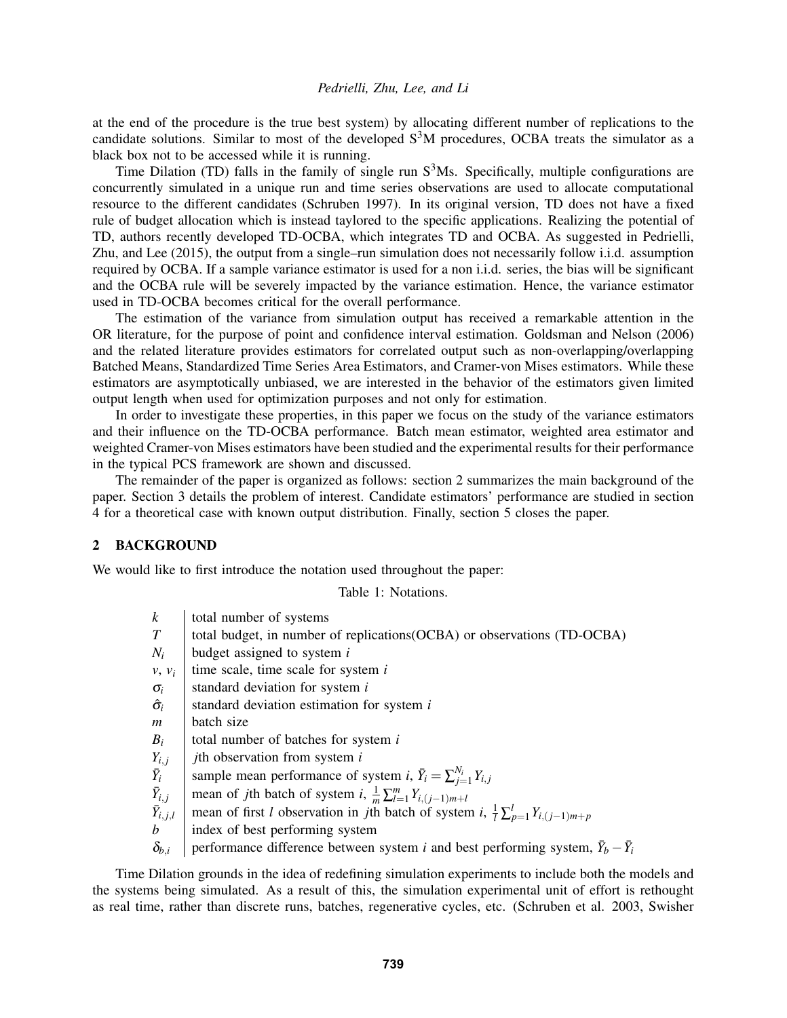at the end of the procedure is the true best system) by allocating different number of replications to the candidate solutions. Similar to most of the developed  $S<sup>3</sup>M$  procedures, OCBA treats the simulator as a black box not to be accessed while it is running.

Time Dilation (TD) falls in the family of single run  $S<sup>3</sup>Ms$ . Specifically, multiple configurations are concurrently simulated in a unique run and time series observations are used to allocate computational resource to the different candidates (Schruben 1997). In its original version, TD does not have a fixed rule of budget allocation which is instead taylored to the specific applications. Realizing the potential of TD, authors recently developed TD-OCBA, which integrates TD and OCBA. As suggested in Pedrielli, Zhu, and Lee (2015), the output from a single–run simulation does not necessarily follow i.i.d. assumption required by OCBA. If a sample variance estimator is used for a non i.i.d. series, the bias will be significant and the OCBA rule will be severely impacted by the variance estimation. Hence, the variance estimator used in TD-OCBA becomes critical for the overall performance.

The estimation of the variance from simulation output has received a remarkable attention in the OR literature, for the purpose of point and confidence interval estimation. Goldsman and Nelson (2006) and the related literature provides estimators for correlated output such as non-overlapping/overlapping Batched Means, Standardized Time Series Area Estimators, and Cramer-von Mises estimators. While these estimators are asymptotically unbiased, we are interested in the behavior of the estimators given limited output length when used for optimization purposes and not only for estimation.

In order to investigate these properties, in this paper we focus on the study of the variance estimators and their influence on the TD-OCBA performance. Batch mean estimator, weighted area estimator and weighted Cramer-von Mises estimators have been studied and the experimental results for their performance in the typical PCS framework are shown and discussed.

The remainder of the paper is organized as follows: section 2 summarizes the main background of the paper. Section 3 details the problem of interest. Candidate estimators' performance are studied in section 4 for a theoretical case with known output distribution. Finally, section 5 closes the paper.

### 2 BACKGROUND

We would like to first introduce the notation used throughout the paper:

Table 1: Notations.

- $k$  | total number of systems
- *T* | total budget, in number of replications(OCBA) or observations (TD-OCBA)
- $N_i$  budget assigned to system *i*
- *v*, *v<sup>i</sup>* time scale, time scale for system *i*
- $\sigma_i$  | standard deviation for system *i*
- $\hat{\sigma}_i$  | standard deviation estimation for system *i*
- *m* batch size
- *Bi* total number of batches for system *i*
- *Yi*, *<sup>j</sup> j*th observation from system *i*
- $\bar{Y}_i$ sample mean performance of system *i*,  $\bar{Y}_i = \sum_{j=1}^{N_i} Y_{i,j}$
- $\bar{Y}_{i,j}$  $\sum_{i,j}$  mean of *j*th batch of system *i*,  $\frac{1}{m} \sum_{l=1}^{m} Y_{i,(j-1)m+l}$
- $\bar{Y}_{i,j,l}$  $\sum_{i,j,l}$  mean of first *l* observation in *j*th batch of system *i*,  $\frac{1}{l} \sum_{p=1}^{l} Y_{i,(j-1)m+p}$
- *b* | index of best performing system
- $\delta_{b,i}$  performance difference between system *i* and best performing system,  $\bar{Y}_b \bar{Y}_i$

Time Dilation grounds in the idea of redefining simulation experiments to include both the models and the systems being simulated. As a result of this, the simulation experimental unit of effort is rethought as real time, rather than discrete runs, batches, regenerative cycles, etc. (Schruben et al. 2003, Swisher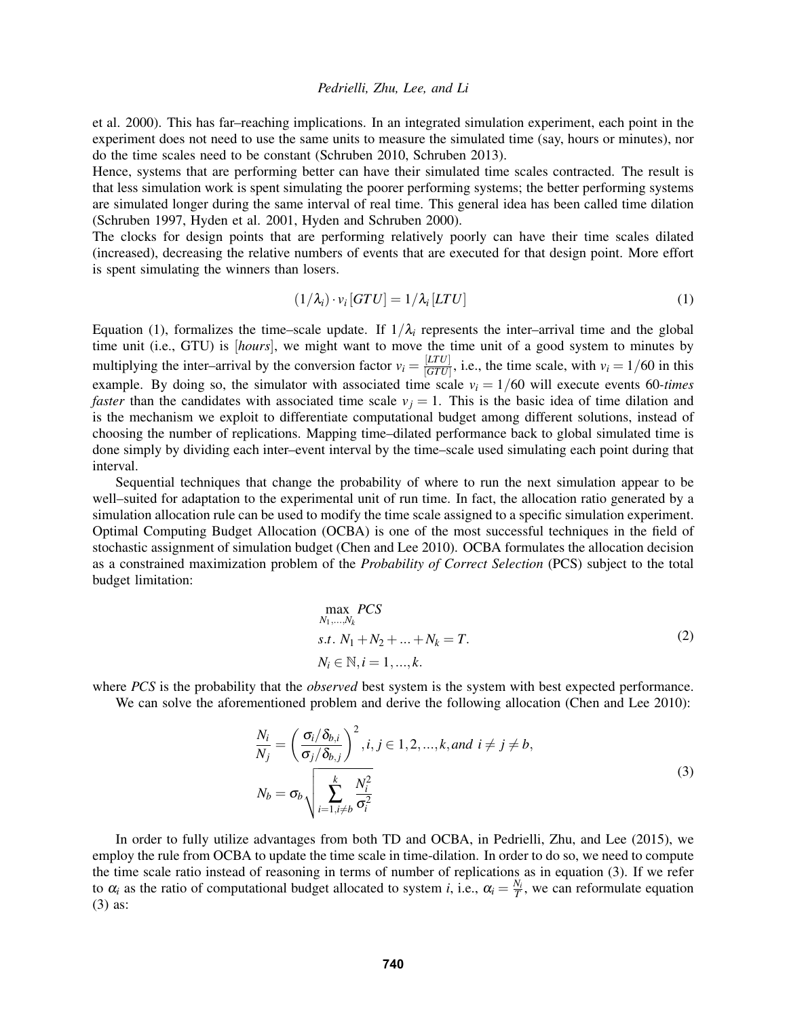et al. 2000). This has far–reaching implications. In an integrated simulation experiment, each point in the experiment does not need to use the same units to measure the simulated time (say, hours or minutes), nor do the time scales need to be constant (Schruben 2010, Schruben 2013).

Hence, systems that are performing better can have their simulated time scales contracted. The result is that less simulation work is spent simulating the poorer performing systems; the better performing systems are simulated longer during the same interval of real time. This general idea has been called time dilation (Schruben 1997, Hyden et al. 2001, Hyden and Schruben 2000).

The clocks for design points that are performing relatively poorly can have their time scales dilated (increased), decreasing the relative numbers of events that are executed for that design point. More effort is spent simulating the winners than losers.

$$
(1/\lambda_i) \cdot v_i\left[ GTU \right] = 1/\lambda_i \left[ LTU \right] \tag{1}
$$

Equation (1), formalizes the time–scale update. If  $1/\lambda_i$  represents the inter–arrival time and the global time unit (i.e., GTU) is [*hours*], we might want to move the time unit of a good system to minutes by multiplying the inter–arrival by the conversion factor  $v_i = \frac{[LTV]}{(GTD)}$  $\frac{[L<sub>I</sub>U]}{[G<sub>I</sub>U]}$ , i.e., the time scale, with  $v_i = 1/60$  in this example. By doing so, the simulator with associated time scale  $v_i = 1/60$  will execute events 60-times *faster* than the candidates with associated time scale  $v_j = 1$ . This is the basic idea of time dilation and is the mechanism we exploit to differentiate computational budget among different solutions, instead of choosing the number of replications. Mapping time–dilated performance back to global simulated time is done simply by dividing each inter–event interval by the time–scale used simulating each point during that interval.

Sequential techniques that change the probability of where to run the next simulation appear to be well–suited for adaptation to the experimental unit of run time. In fact, the allocation ratio generated by a simulation allocation rule can be used to modify the time scale assigned to a specific simulation experiment. Optimal Computing Budget Allocation (OCBA) is one of the most successful techniques in the field of stochastic assignment of simulation budget (Chen and Lee 2010). OCBA formulates the allocation decision as a constrained maximization problem of the *Probability of Correct Selection* (PCS) subject to the total budget limitation:

$$
\max_{N_1, ..., N_k} PCS \ns.t. N_1 + N_2 + ... + N_k = T.
$$
\n(2)  
\n
$$
N_i \in \mathbb{N}, i = 1, ..., k.
$$

where *PCS* is the probability that the *observed* best system is the system with best expected performance. We can solve the aforementioned problem and derive the following allocation (Chen and Lee 2010):

$$
\frac{N_i}{N_j} = \left(\frac{\sigma_i/\delta_{b,i}}{\sigma_j/\delta_{b,j}}\right)^2, i, j \in 1, 2, ..., k, and \ i \neq j \neq b,
$$
  

$$
N_b = \sigma_b \sqrt{\sum_{i=1, i \neq b}^k \frac{N_i^2}{\sigma_i^2}}
$$
\n(3)

In order to fully utilize advantages from both TD and OCBA, in Pedrielli, Zhu, and Lee (2015), we employ the rule from OCBA to update the time scale in time-dilation. In order to do so, we need to compute the time scale ratio instead of reasoning in terms of number of replications as in equation (3). If we refer to  $\alpha_i$  as the ratio of computational budget allocated to system *i*, i.e.,  $\alpha_i = \frac{N_i}{T}$ , we can reformulate equation (3) as: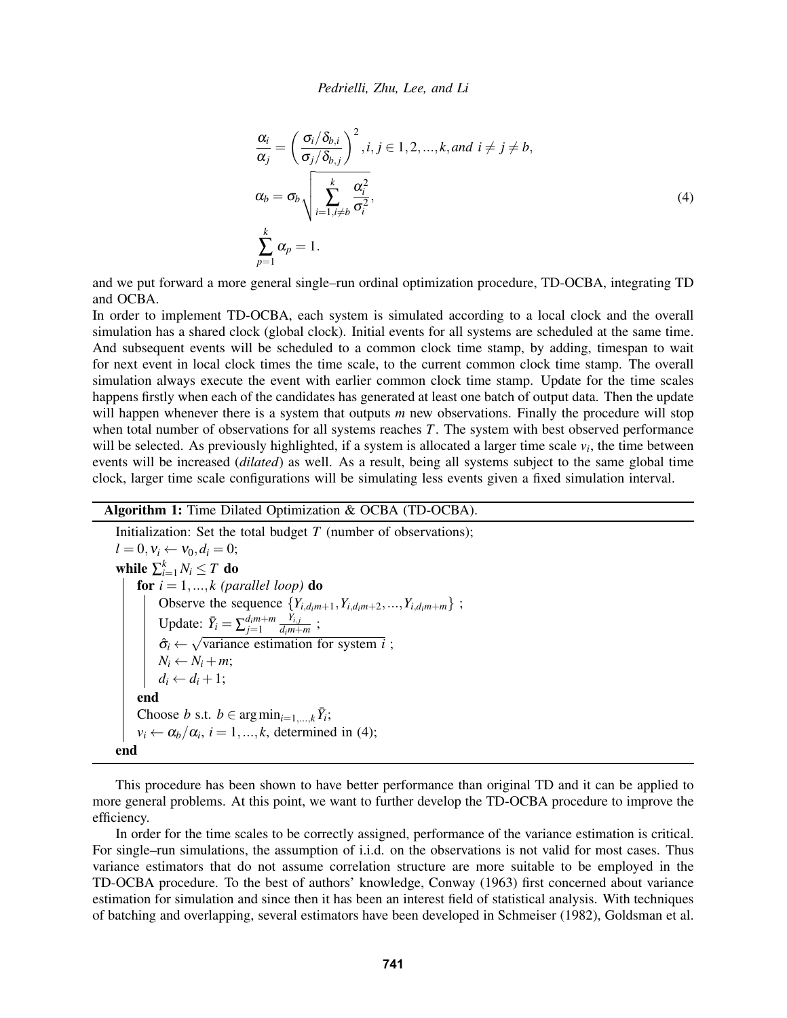$$
\frac{\alpha_i}{\alpha_j} = \left(\frac{\sigma_i/\delta_{b,i}}{\sigma_j/\delta_{b,j}}\right)^2, i, j \in 1, 2, ..., k, and \ i \neq j \neq b,\n\alpha_b = \sigma_b \sqrt{\sum_{i=1, i \neq b}^k \frac{\alpha_i^2}{\sigma_i^2}},\n\sum_{p=1}^k \alpha_p = 1.
$$
\n(4)

and we put forward a more general single–run ordinal optimization procedure, TD-OCBA, integrating TD and OCBA.

In order to implement TD-OCBA, each system is simulated according to a local clock and the overall simulation has a shared clock (global clock). Initial events for all systems are scheduled at the same time. And subsequent events will be scheduled to a common clock time stamp, by adding, timespan to wait for next event in local clock times the time scale, to the current common clock time stamp. The overall simulation always execute the event with earlier common clock time stamp. Update for the time scales happens firstly when each of the candidates has generated at least one batch of output data. Then the update will happen whenever there is a system that outputs *m* new observations. Finally the procedure will stop when total number of observations for all systems reaches *T*. The system with best observed performance will be selected. As previously highlighted, if a system is allocated a larger time scale  $v_i$ , the time between events will be increased *(dilated)* as well. As a result, being all systems subject to the same global time clock, larger time scale configurations will be simulating less events given a fixed simulation interval.

## Algorithm 1: Time Dilated Optimization & OCBA (TD-OCBA).

Initialization: Set the total budget  $T$  (number of observations);  $l = 0, v_i \leftarrow v_0, d_i = 0;$ while  $\sum_{i=1}^{k} N_i \leq T$  do for  $i = 1, ..., k$  (parallel loop) **do** Observe the sequence  ${Y_{i,d_i m+1}, Y_{i,d_i m+2}, ..., Y_{i,d_i m+m}}$ ; Update:  $\bar{Y}_i = \sum_{j=1}^{d_i m + m_i}$ *Yi*, *<sup>j</sup>*  $\frac{I_{i,j}}{d_i m+m}$ ;  $\hat{\sigma}_i \leftarrow \sqrt{\sigma_i^2 + \sigma_i^2}$ variance estimation for system *i* ;  $N_i \leftarrow N_i + m;$  $d_i \leftarrow d_i + 1;$ end Choose *b* s.t.  $b \in \arg \min_{i=1,\dots,k} \overline{Y}_i$ ;  $v_i \leftarrow \alpha_b / \alpha_i$ ,  $i = 1, ..., k$ , determined in (4); end

This procedure has been shown to have better performance than original TD and it can be applied to more general problems. At this point, we want to further develop the TD-OCBA procedure to improve the efficiency.

In order for the time scales to be correctly assigned, performance of the variance estimation is critical. For single–run simulations, the assumption of i.i.d. on the observations is not valid for most cases. Thus variance estimators that do not assume correlation structure are more suitable to be employed in the TD-OCBA procedure. To the best of authors' knowledge, Conway (1963) first concerned about variance estimation for simulation and since then it has been an interest field of statistical analysis. With techniques of batching and overlapping, several estimators have been developed in Schmeiser (1982), Goldsman et al.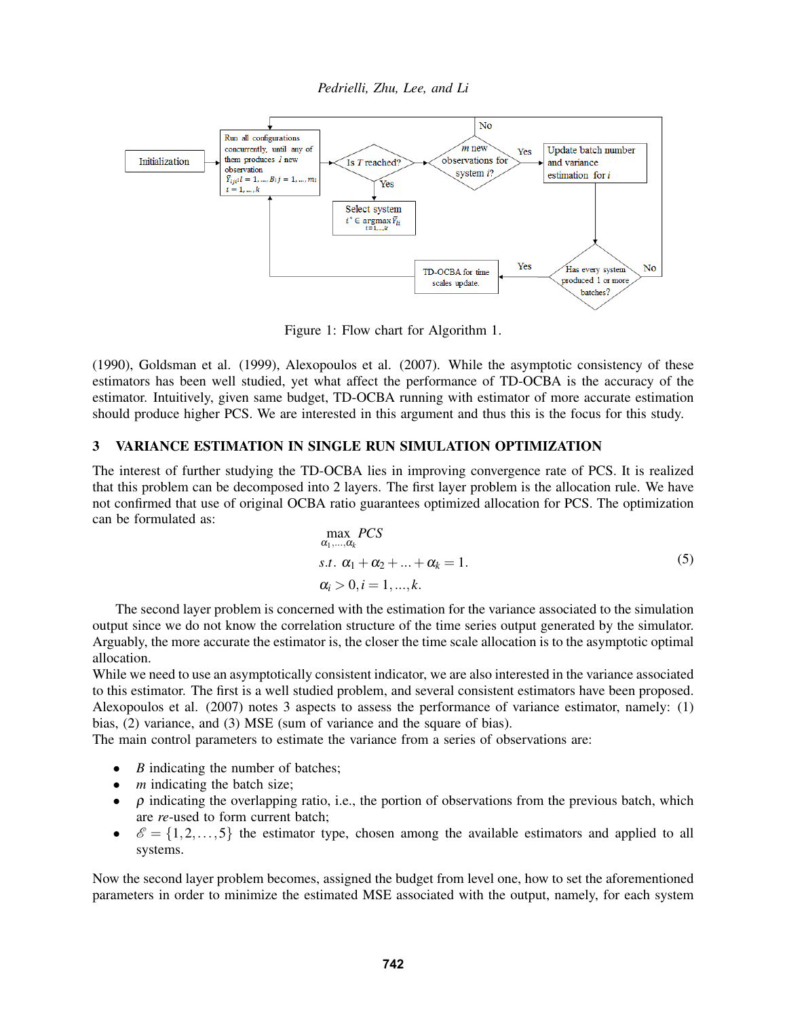

Figure 1: Flow chart for Algorithm 1.

(1990), Goldsman et al. (1999), Alexopoulos et al. (2007). While the asymptotic consistency of these estimators has been well studied, yet what affect the performance of TD-OCBA is the accuracy of the estimator. Intuitively, given same budget, TD-OCBA running with estimator of more accurate estimation should produce higher PCS. We are interested in this argument and thus this is the focus for this study.

## 3 VARIANCE ESTIMATION IN SINGLE RUN SIMULATION OPTIMIZATION

The interest of further studying the TD-OCBA lies in improving convergence rate of PCS. It is realized that this problem can be decomposed into 2 layers. The first layer problem is the allocation rule. We have not confirmed that use of original OCBA ratio guarantees optimized allocation for PCS. The optimization can be formulated as:

$$
\max_{\alpha_1,\dots,\alpha_k} PCS
$$
  
s.t.  $\alpha_1 + \alpha_2 + \dots + \alpha_k = 1$ .  

$$
\alpha_i > 0, i = 1, \dots, k.
$$
 (5)

The second layer problem is concerned with the estimation for the variance associated to the simulation output since we do not know the correlation structure of the time series output generated by the simulator. Arguably, the more accurate the estimator is, the closer the time scale allocation is to the asymptotic optimal allocation.

While we need to use an asymptotically consistent indicator, we are also interested in the variance associated to this estimator. The first is a well studied problem, and several consistent estimators have been proposed. Alexopoulos et al. (2007) notes 3 aspects to assess the performance of variance estimator, namely: (1) bias, (2) variance, and (3) MSE (sum of variance and the square of bias).

The main control parameters to estimate the variance from a series of observations are:

- *B* indicating the number of batches;
- *m* indicating the batch size;
- $\bullet$   $\rho$  indicating the overlapping ratio, i.e., the portion of observations from the previous batch, which are *re*-used to form current batch;
- $\mathscr{E} = \{1, 2, ..., 5\}$  the estimator type, chosen among the available estimators and applied to all systems.

Now the second layer problem becomes, assigned the budget from level one, how to set the aforementioned parameters in order to minimize the estimated MSE associated with the output, namely, for each system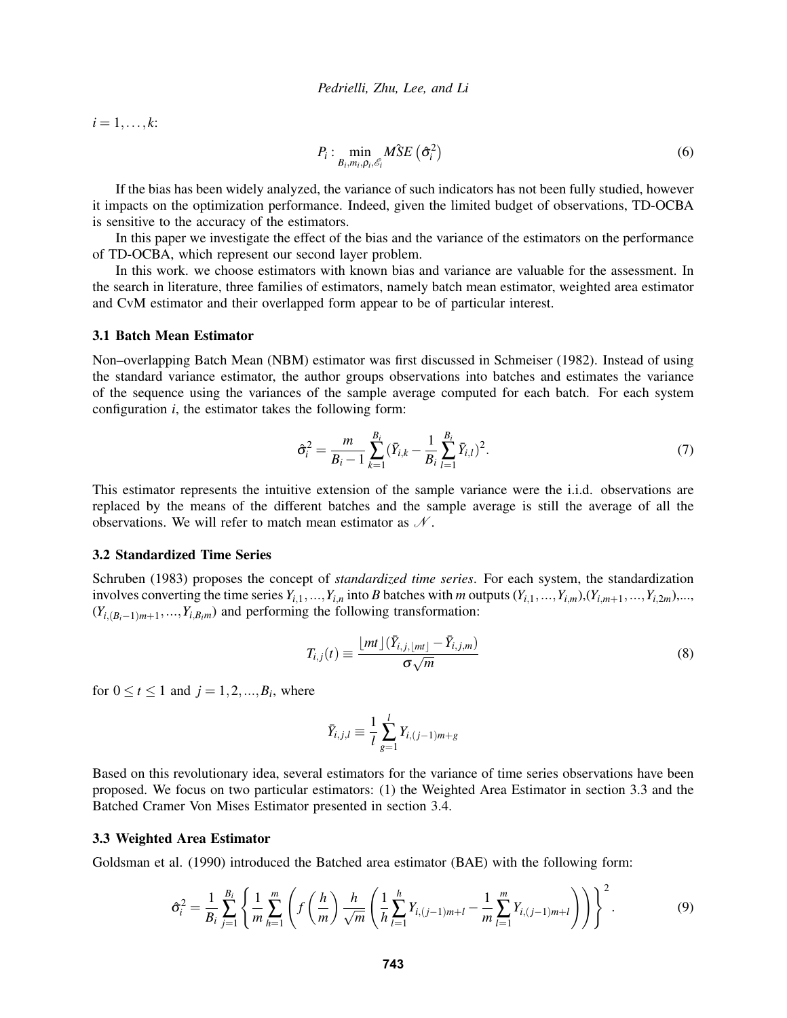$i = 1, \ldots, k$ :

$$
P_i: \min_{B_i, m_i, \rho_i, \mathcal{E}_i} M\hat{S}E\left(\hat{\sigma}_i^2\right) \tag{6}
$$

If the bias has been widely analyzed, the variance of such indicators has not been fully studied, however it impacts on the optimization performance. Indeed, given the limited budget of observations, TD-OCBA is sensitive to the accuracy of the estimators.

In this paper we investigate the effect of the bias and the variance of the estimators on the performance of TD-OCBA, which represent our second layer problem.

In this work. we choose estimators with known bias and variance are valuable for the assessment. In the search in literature, three families of estimators, namely batch mean estimator, weighted area estimator and CvM estimator and their overlapped form appear to be of particular interest.

#### 3.1 Batch Mean Estimator

Non–overlapping Batch Mean (NBM) estimator was first discussed in Schmeiser (1982). Instead of using the standard variance estimator, the author groups observations into batches and estimates the variance of the sequence using the variances of the sample average computed for each batch. For each system configuration *i*, the estimator takes the following form:

$$
\hat{\sigma}_i^2 = \frac{m}{B_i - 1} \sum_{k=1}^{B_i} (\bar{Y}_{i,k} - \frac{1}{B_i} \sum_{l=1}^{B_i} \bar{Y}_{i,l})^2.
$$
\n(7)

This estimator represents the intuitive extension of the sample variance were the i.i.d. observations are replaced by the means of the different batches and the sample average is still the average of all the observations. We will refer to match mean estimator as  $\mathcal{N}$ .

### 3.2 Standardized Time Series

Schruben (1983) proposes the concept of *standardized time series*. For each system, the standardization involves converting the time series  $Y_{i,1},...,Y_{i,n}$  into B batches with m outputs  $(Y_{i,1},...,Y_{i,m})$ ,  $(Y_{i,m+1},...,Y_{i,2m})$ ,...,  $(Y_{i,(B_i-1)m+1},...,Y_{i,B_im})$  and performing the following transformation:

$$
T_{i,j}(t) \equiv \frac{\lfloor mt \rfloor (\bar{Y}_{i,j,\lfloor mt \rfloor} - \bar{Y}_{i,j,m})}{\sigma \sqrt{m}}
$$
\n(8)

for  $0 \le t \le 1$  and  $j = 1, 2, ..., B_i$ , where

$$
\bar{Y}_{i,j,l} \equiv \frac{1}{l} \sum_{g=1}^{l} Y_{i,(j-1)m+g}
$$

Based on this revolutionary idea, several estimators for the variance of time series observations have been proposed. We focus on two particular estimators: (1) the Weighted Area Estimator in section 3.3 and the Batched Cramer Von Mises Estimator presented in section 3.4.

### 3.3 Weighted Area Estimator

Goldsman et al. (1990) introduced the Batched area estimator (BAE) with the following form:

$$
\hat{\sigma}_i^2 = \frac{1}{B_i} \sum_{j=1}^{B_i} \left\{ \frac{1}{m} \sum_{h=1}^m \left( f\left(\frac{h}{m}\right) \frac{h}{\sqrt{m}} \left( \frac{1}{h} \sum_{l=1}^h Y_{i,(j-1)m+l} - \frac{1}{m} \sum_{l=1}^m Y_{i,(j-1)m+l} \right) \right) \right\}^2.
$$
(9)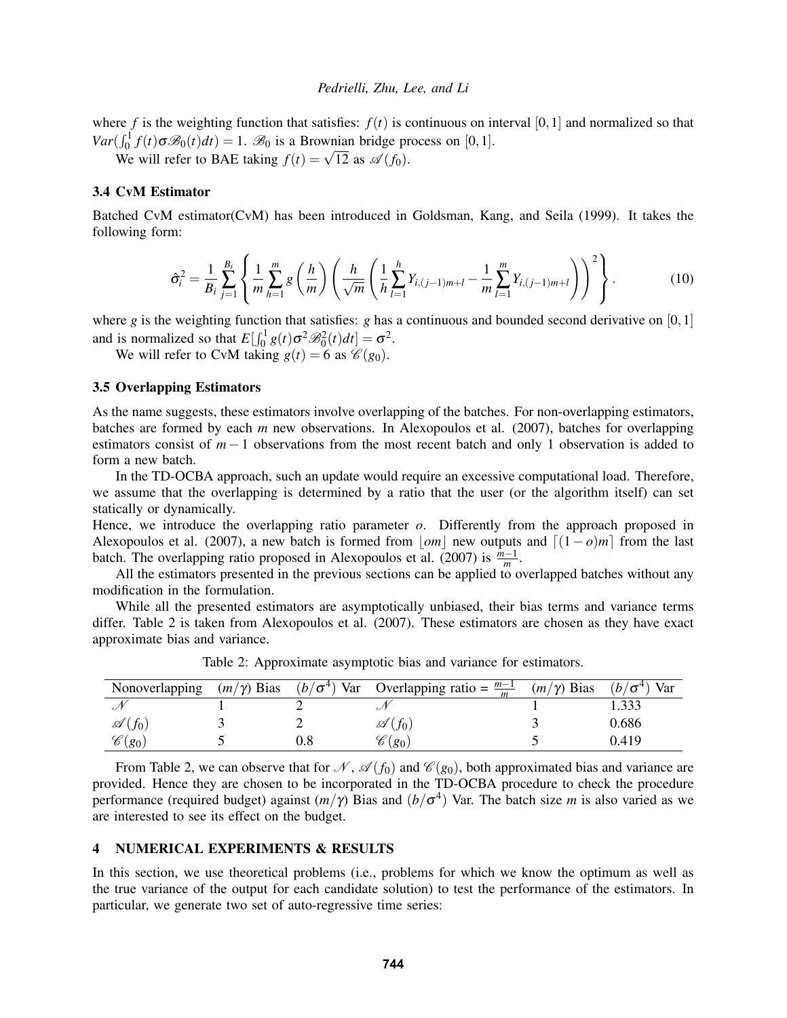where  $f$  is the weighting function that satisfies:  $f(t)$  is continuous on interval [0,1] and normalized so that  $Var(\int_0^1 f(t) \sigma \mathcal{B}_0(t) dt) = 1$ .  $\mathcal{B}_0$  is a Brownian bridge process on [0,1].

 $y_0 f(t) \propto \mathcal{B}(t) a(t) = 1.$   $\mathcal{B}(t)$  is a biowinal bridge proved to BAE taking  $f(t) = \sqrt{12}$  as  $\mathcal{A}(f_0)$ .

### 3.4 CvM Estimator

Batched CvM estimator(CvM) has been introduced in Goldsman, Kang, and Seila (1999). It takes the following form:

$$
\hat{\sigma}_i^2 = \frac{1}{B_i} \sum_{j=1}^{B_i} \left\{ \frac{1}{m} \sum_{h=1}^m g\left(\frac{h}{m}\right) \left( \frac{h}{\sqrt{m}} \left( \frac{1}{h} \sum_{l=1}^h Y_{i,(j-1)m+l} - \frac{1}{m} \sum_{l=1}^m Y_{i,(j-1)m+l} \right) \right)^2 \right\}.
$$
(10)

where *g* is the weighting function that satisfies: *g* has a continuous and bounded second derivative on [0,1] and is normalized so that  $E[\int_0^1 g(t) \sigma^2 \mathcal{B}_0^2(t) dt] = \sigma^2$ .

We will refer to CvM taking  $g(t) = 6$  as  $\mathcal{C}(g_0)$ .

### 3.5 Overlapping Estimators

As the name suggests, these estimators involve overlapping of the batches. For non-overlapping estimators, batches are formed by each *m* new observations. In Alexopoulos et al. (2007), batches for overlapping estimators consist of *m*−1 observations from the most recent batch and only 1 observation is added to form a new batch.

In the TD-OCBA approach, such an update would require an excessive computational load. Therefore, we assume that the overlapping is determined by a ratio that the user (or the algorithm itself) can set statically or dynamically.

Hence, we introduce the overlapping ratio parameter *o*. Differently from the approach proposed in Alexopoulos et al. (2007), a new batch is formed from  $|om|$  new outputs and  $\lfloor (1-\rho)m \rfloor$  from the last batch. The overlapping ratio proposed in Alexopoulos et al. (2007) is  $\frac{\tilde{m}-1}{m}$ .

All the estimators presented in the previous sections can be applied to overlapped batches without any modification in the formulation.

While all the presented estimators are asymptotically unbiased, their bias terms and variance terms differ. Table 2 is taken from Alexopoulos et al. (2007). These estimators are chosen as they have exact approximate bias and variance.

| Nonoverlapping     | $(m/\gamma)$ Bias |     | $(b/\sigma^4)$ Var Overlapping ratio = $\frac{m-1}{m}$ $(m/\gamma)$ Bias | $(b/\sigma^4)$ Var |
|--------------------|-------------------|-----|--------------------------------------------------------------------------|--------------------|
|                    |                   |     |                                                                          |                    |
| $\mathscr{A}(f_0)$ |                   |     | $\mathscr{A}(f_0)$                                                       | 0.686              |
| $\mathscr{C}(g_0)$ |                   | 0.8 | $\mathscr{C}(g_0)$                                                       | 0.419              |

Table 2: Approximate asymptotic bias and variance for estimators.

From Table 2, we can observe that for  $\mathcal{N}$ ,  $\mathcal{A}(f_0)$  and  $\mathcal{C}(g_0)$ , both approximated bias and variance are provided. Hence they are chosen to be incorporated in the TD-OCBA procedure to check the procedure performance (required budget) against (*m*/γ) Bias and (*b*/σ 4 ) Var. The batch size *m* is also varied as we are interested to see its effect on the budget.

### 4 NUMERICAL EXPERIMENTS & RESULTS

In this section, we use theoretical problems (i.e., problems for which we know the optimum as well as the true variance of the output for each candidate solution) to test the performance of the estimators. In particular, we generate two set of auto-regressive time series: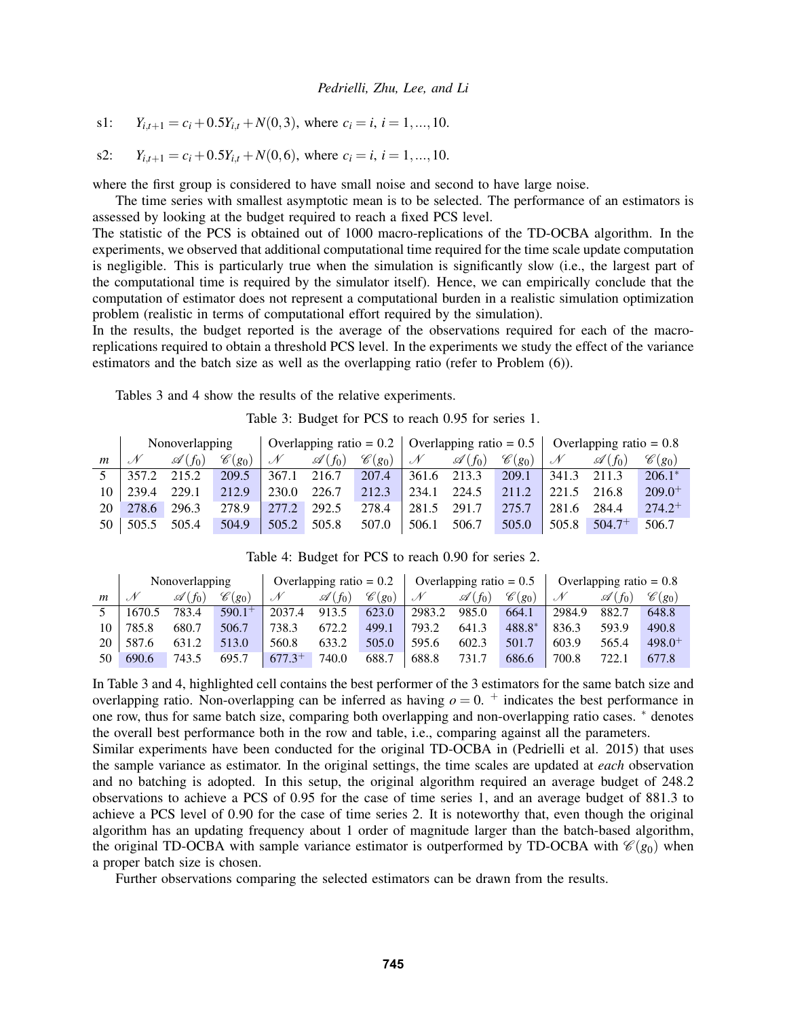s1: 
$$
Y_{i,t+1} = c_i + 0.5Y_{i,t} + N(0,3)
$$
, where  $c_i = i$ ,  $i = 1,...,10$ .

s2: 
$$
Y_{i,t+1} = c_i + 0.5Y_{i,t} + N(0,6)
$$
, where  $c_i = i$ ,  $i = 1,..., 10$ .

where the first group is considered to have small noise and second to have large noise.

The time series with smallest asymptotic mean is to be selected. The performance of an estimators is assessed by looking at the budget required to reach a fixed PCS level.

The statistic of the PCS is obtained out of 1000 macro-replications of the TD-OCBA algorithm. In the experiments, we observed that additional computational time required for the time scale update computation is negligible. This is particularly true when the simulation is significantly slow (i.e., the largest part of the computational time is required by the simulator itself). Hence, we can empirically conclude that the computation of estimator does not represent a computational burden in a realistic simulation optimization problem (realistic in terms of computational effort required by the simulation).

In the results, the budget reported is the average of the observations required for each of the macroreplications required to obtain a threshold PCS level. In the experiments we study the effect of the variance estimators and the batch size as well as the overlapping ratio (refer to Problem (6)).

Tables 3 and 4 show the results of the relative experiments.

Table 3: Budget for PCS to reach 0.95 for series 1.

|     | Nonoverlapping |                    |                    | Overlapping ratio = 0.2   Overlapping ratio = 0.5   Overlapping ratio = 0.8 |                    |                    |               |                    |                    |       |                    |                    |
|-----|----------------|--------------------|--------------------|-----------------------------------------------------------------------------|--------------------|--------------------|---------------|--------------------|--------------------|-------|--------------------|--------------------|
| m   |                | $\mathscr{A}(f_0)$ | $\mathscr{C}(g_0)$ |                                                                             | $\mathscr{A}(f_0)$ | $\mathscr{C}(g_0)$ | $\mathscr{N}$ | $\mathscr{A}(f_0)$ | $\mathscr{C}(g_0)$ |       | $\mathscr{A}(f_0)$ | $\mathscr{C}(g_0)$ |
|     | 357.2          | 215.2              | 209.5              | 367.1                                                                       | 216.7              | 207.4              | 361.6         | 213.3              | 209.1              | 341.3 | 211.3              | $206.1*$           |
| 10- | 239.4          | 229.1              | 212.9              | 230.0                                                                       | 226.7              | 212.3              | 234.1         | 224.5              | 211.2              | 221.5 | 216.8              | $209.0^{+}$        |
| 20  | 278.6          | 296.3              | 278.9              | 277.2                                                                       | 292.5              | 278.4              | 281.5         | 291.7              | 275.7              | 281.6 | 284.4              | $274.2^{+}$        |
| 50  | 505.5          | 505.4              | 504.9              | 505.2                                                                       | 505.8              | 507.0              | 506.1         | 506.7              | 505.0              | 505.8 | $504.7^{+}$        | 506.7              |

|                  | Nonoverlapping |                          | Overlapping ratio $= 0.2$ |             |                    | Overlapping ratio = $0.5$ |        |                    | Overlapping ratio $= 0.8$ |        |                    |                    |
|------------------|----------------|--------------------------|---------------------------|-------------|--------------------|---------------------------|--------|--------------------|---------------------------|--------|--------------------|--------------------|
| $\boldsymbol{m}$ |                | $\mathscr{A}$<br>$(f_0)$ | $\mathscr{C}(g_0)$        |             | $\mathscr{A}(f_0)$ | $\mathscr{C}(g_0)$        |        | $\mathscr{A}(f_0)$ | $\mathscr{C}(g_0)$        | ℳ      | $\mathscr{A}(f_0)$ | $\mathscr{C}(g_0)$ |
|                  | 1670.5         | 783.4                    | $590.1^{+}$               | 2037.4      | 913.5              | 623.0                     | 2983.2 | 985.0              | 664.1                     | 2984.9 | 882.7              | 648.8              |
| 10               | 785.8          | 680.7                    | 506.7                     | 738.3       | 672.2              | 499.1                     | 793.2  | 641.3              | 488.8*                    | 836.3  | 593.9              | 490.8              |
| 20               | 587.6          | 631.2                    | 513.0                     | 560.8       | 633.2              | 505.0                     | 595.6  | 602.3              | 501.7                     | 603.9  | 565.4              | $498.0^{+}$        |
| 50               | 690.6          | 743.5                    | 695.7                     | $677.3^{+}$ | 740.0              | 688.7                     | 688.8  | 731.7              | 686.6                     | 700.8  | 722.1              | 677.8              |

Table 4: Budget for PCS to reach 0.90 for series 2.

In Table 3 and 4, highlighted cell contains the best performer of the 3 estimators for the same batch size and overlapping ratio. Non-overlapping can be inferred as having  $o = 0$ . <sup>+</sup> indicates the best performance in one row, thus for same batch size, comparing both overlapping and non-overlapping ratio cases. <sup>∗</sup> denotes the overall best performance both in the row and table, i.e., comparing against all the parameters.

Similar experiments have been conducted for the original TD-OCBA in (Pedrielli et al. 2015) that uses the sample variance as estimator. In the original settings, the time scales are updated at *each* observation and no batching is adopted. In this setup, the original algorithm required an average budget of 248.2 observations to achieve a PCS of 0.95 for the case of time series 1, and an average budget of 881.3 to achieve a PCS level of 0.90 for the case of time series 2. It is noteworthy that, even though the original algorithm has an updating frequency about 1 order of magnitude larger than the batch-based algorithm, the original TD-OCBA with sample variance estimator is outperformed by TD-OCBA with  $\mathcal{C}(g_0)$  when a proper batch size is chosen.

Further observations comparing the selected estimators can be drawn from the results.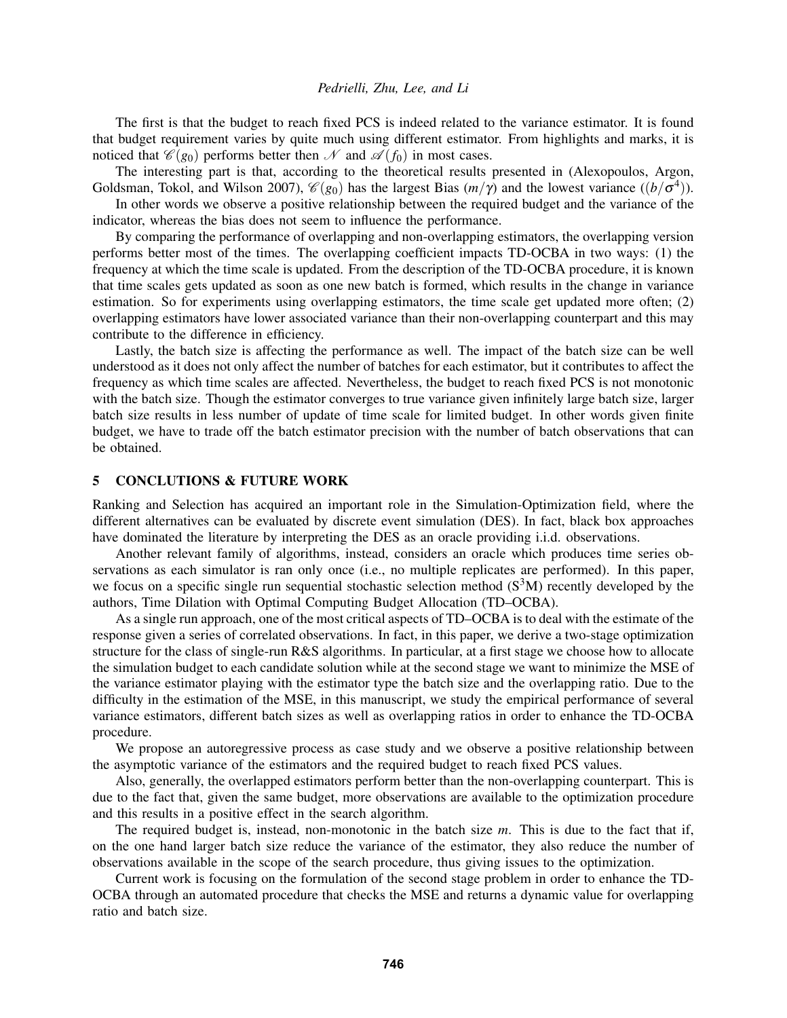The first is that the budget to reach fixed PCS is indeed related to the variance estimator. It is found that budget requirement varies by quite much using different estimator. From highlights and marks, it is noticed that  $\mathcal{C}(g_0)$  performs better then N and  $\mathcal{A}(f_0)$  in most cases.

The interesting part is that, according to the theoretical results presented in (Alexopoulos, Argon, Goldsman, Tokol, and Wilson 2007),  $\mathcal{C}(g_0)$  has the largest Bias  $(m/\gamma)$  and the lowest variance  $((b/\sigma^4))$ .

In other words we observe a positive relationship between the required budget and the variance of the indicator, whereas the bias does not seem to influence the performance.

By comparing the performance of overlapping and non-overlapping estimators, the overlapping version performs better most of the times. The overlapping coefficient impacts TD-OCBA in two ways: (1) the frequency at which the time scale is updated. From the description of the TD-OCBA procedure, it is known that time scales gets updated as soon as one new batch is formed, which results in the change in variance estimation. So for experiments using overlapping estimators, the time scale get updated more often; (2) overlapping estimators have lower associated variance than their non-overlapping counterpart and this may contribute to the difference in efficiency.

Lastly, the batch size is affecting the performance as well. The impact of the batch size can be well understood as it does not only affect the number of batches for each estimator, but it contributes to affect the frequency as which time scales are affected. Nevertheless, the budget to reach fixed PCS is not monotonic with the batch size. Though the estimator converges to true variance given infinitely large batch size, larger batch size results in less number of update of time scale for limited budget. In other words given finite budget, we have to trade off the batch estimator precision with the number of batch observations that can be obtained.

## 5 CONCLUTIONS & FUTURE WORK

Ranking and Selection has acquired an important role in the Simulation-Optimization field, where the different alternatives can be evaluated by discrete event simulation (DES). In fact, black box approaches have dominated the literature by interpreting the DES as an oracle providing i.i.d. observations.

Another relevant family of algorithms, instead, considers an oracle which produces time series observations as each simulator is ran only once (i.e., no multiple replicates are performed). In this paper, we focus on a specific single run sequential stochastic selection method  $(S<sup>3</sup>M)$  recently developed by the authors, Time Dilation with Optimal Computing Budget Allocation (TD–OCBA).

As a single run approach, one of the most critical aspects of TD–OCBA is to deal with the estimate of the response given a series of correlated observations. In fact, in this paper, we derive a two-stage optimization structure for the class of single-run R&S algorithms. In particular, at a first stage we choose how to allocate the simulation budget to each candidate solution while at the second stage we want to minimize the MSE of the variance estimator playing with the estimator type the batch size and the overlapping ratio. Due to the difficulty in the estimation of the MSE, in this manuscript, we study the empirical performance of several variance estimators, different batch sizes as well as overlapping ratios in order to enhance the TD-OCBA procedure.

We propose an autoregressive process as case study and we observe a positive relationship between the asymptotic variance of the estimators and the required budget to reach fixed PCS values.

Also, generally, the overlapped estimators perform better than the non-overlapping counterpart. This is due to the fact that, given the same budget, more observations are available to the optimization procedure and this results in a positive effect in the search algorithm.

The required budget is, instead, non-monotonic in the batch size *m*. This is due to the fact that if, on the one hand larger batch size reduce the variance of the estimator, they also reduce the number of observations available in the scope of the search procedure, thus giving issues to the optimization.

Current work is focusing on the formulation of the second stage problem in order to enhance the TD-OCBA through an automated procedure that checks the MSE and returns a dynamic value for overlapping ratio and batch size.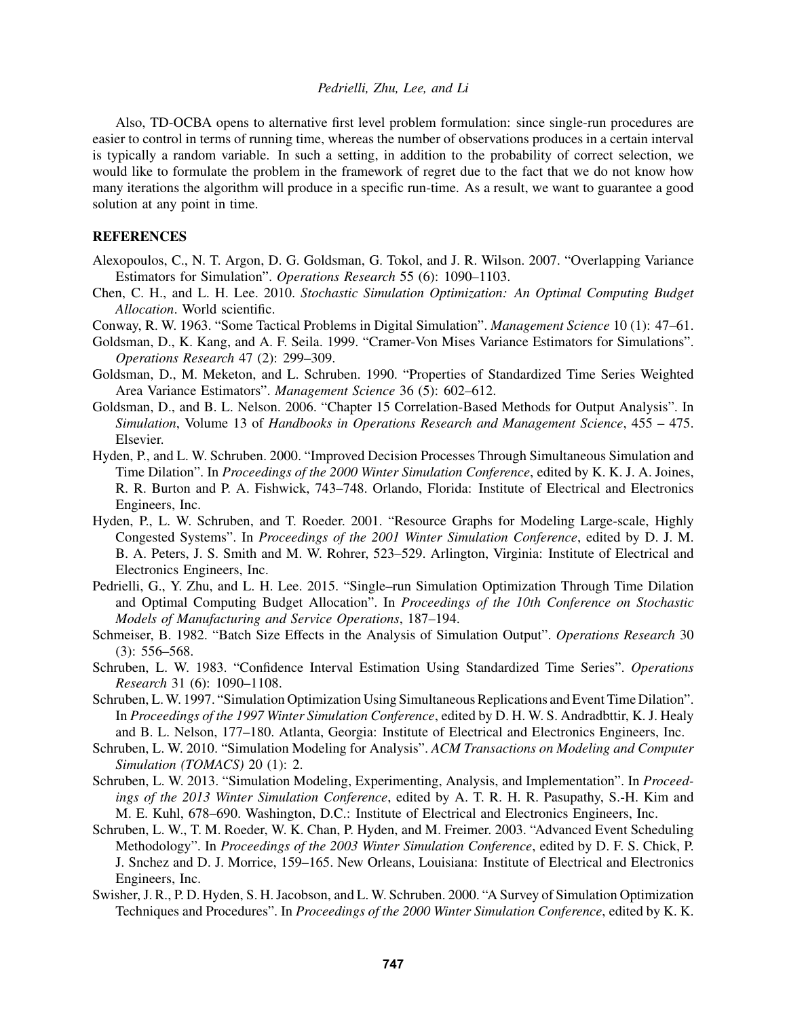Also, TD-OCBA opens to alternative first level problem formulation: since single-run procedures are easier to control in terms of running time, whereas the number of observations produces in a certain interval is typically a random variable. In such a setting, in addition to the probability of correct selection, we would like to formulate the problem in the framework of regret due to the fact that we do not know how many iterations the algorithm will produce in a specific run-time. As a result, we want to guarantee a good solution at any point in time.

## **REFERENCES**

- Alexopoulos, C., N. T. Argon, D. G. Goldsman, G. Tokol, and J. R. Wilson. 2007. "Overlapping Variance Estimators for Simulation". *Operations Research* 55 (6): 1090–1103.
- Chen, C. H., and L. H. Lee. 2010. *Stochastic Simulation Optimization: An Optimal Computing Budget Allocation*. World scientific.
- Conway, R. W. 1963. "Some Tactical Problems in Digital Simulation". *Management Science* 10 (1): 47–61.
- Goldsman, D., K. Kang, and A. F. Seila. 1999. "Cramer-Von Mises Variance Estimators for Simulations". *Operations Research* 47 (2): 299–309.
- Goldsman, D., M. Meketon, and L. Schruben. 1990. "Properties of Standardized Time Series Weighted Area Variance Estimators". *Management Science* 36 (5): 602–612.
- Goldsman, D., and B. L. Nelson. 2006. "Chapter 15 Correlation-Based Methods for Output Analysis". In *Simulation*, Volume 13 of *Handbooks in Operations Research and Management Science*, 455 – 475. Elsevier.
- Hyden, P., and L. W. Schruben. 2000. "Improved Decision Processes Through Simultaneous Simulation and Time Dilation". In *Proceedings of the 2000 Winter Simulation Conference*, edited by K. K. J. A. Joines, R. R. Burton and P. A. Fishwick, 743–748. Orlando, Florida: Institute of Electrical and Electronics Engineers, Inc.
- Hyden, P., L. W. Schruben, and T. Roeder. 2001. "Resource Graphs for Modeling Large-scale, Highly Congested Systems". In *Proceedings of the 2001 Winter Simulation Conference*, edited by D. J. M. B. A. Peters, J. S. Smith and M. W. Rohrer, 523–529. Arlington, Virginia: Institute of Electrical and Electronics Engineers, Inc.
- Pedrielli, G., Y. Zhu, and L. H. Lee. 2015. "Single–run Simulation Optimization Through Time Dilation and Optimal Computing Budget Allocation". In *Proceedings of the 10th Conference on Stochastic Models of Manufacturing and Service Operations*, 187–194.
- Schmeiser, B. 1982. "Batch Size Effects in the Analysis of Simulation Output". *Operations Research* 30 (3): 556–568.
- Schruben, L. W. 1983. "Confidence Interval Estimation Using Standardized Time Series". *Operations Research* 31 (6): 1090–1108.
- Schruben, L.W. 1997. "Simulation Optimization Using Simultaneous Replications and Event Time Dilation". In *Proceedings of the 1997 Winter Simulation Conference*, edited by D. H. W. S. Andradbttir, K. J. Healy and B. L. Nelson, 177–180. Atlanta, Georgia: Institute of Electrical and Electronics Engineers, Inc.
- Schruben, L. W. 2010. "Simulation Modeling for Analysis". *ACM Transactions on Modeling and Computer Simulation (TOMACS)* 20 (1): 2.
- Schruben, L. W. 2013. "Simulation Modeling, Experimenting, Analysis, and Implementation". In *Proceedings of the 2013 Winter Simulation Conference*, edited by A. T. R. H. R. Pasupathy, S.-H. Kim and M. E. Kuhl, 678–690. Washington, D.C.: Institute of Electrical and Electronics Engineers, Inc.
- Schruben, L. W., T. M. Roeder, W. K. Chan, P. Hyden, and M. Freimer. 2003. "Advanced Event Scheduling Methodology". In *Proceedings of the 2003 Winter Simulation Conference*, edited by D. F. S. Chick, P. J. Snchez and D. J. Morrice, 159–165. New Orleans, Louisiana: Institute of Electrical and Electronics Engineers, Inc.
- Swisher, J. R., P. D. Hyden, S. H. Jacobson, and L. W. Schruben. 2000. "A Survey of Simulation Optimization Techniques and Procedures". In *Proceedings of the 2000 Winter Simulation Conference*, edited by K. K.